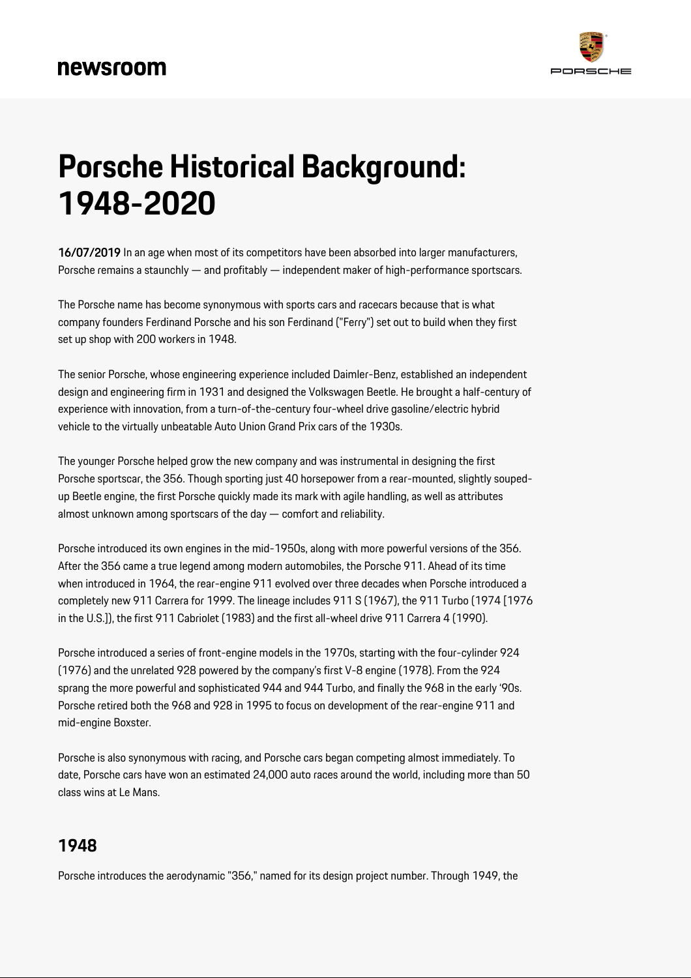

# **Porsche Historical Background: 1948-2020**

16/07/2019 In an age when most of its competitors have been absorbed into larger manufacturers, Porsche remains a staunchly — and profitably — independent maker of high-performance sportscars.

The Porsche name has become synonymous with sports cars and racecars because that is what company founders Ferdinand Porsche and his son Ferdinand ("Ferry") set out to build when they first set up shop with 200 workers in 1948.

The senior Porsche, whose engineering experience included Daimler-Benz, established an independent design and engineering firm in 1931 and designed the Volkswagen Beetle. He brought a half-century of experience with innovation, from a turn-of-the-century four-wheel drive gasoline/electric hybrid vehicle to the virtually unbeatable Auto Union Grand Prix cars of the 1930s.

The younger Porsche helped grow the new company and was instrumental in designing the first Porsche sportscar, the 356. Though sporting just 40 horsepower from a rear-mounted, slightly soupedup Beetle engine, the first Porsche quickly made its mark with agile handling, as well as attributes almost unknown among sportscars of the day — comfort and reliability.

Porsche introduced its own engines in the mid-1950s, along with more powerful versions of the 356. After the 356 came a true legend among modern automobiles, the Porsche 911. Ahead of its time when introduced in 1964, the rear-engine 911 evolved over three decades when Porsche introduced a completely new 911 Carrera for 1999. The lineage includes 911 S (1967), the 911 Turbo (1974 [1976 in the U.S.]), the first 911 Cabriolet (1983) and the first all-wheel drive 911 Carrera 4 (1990).

Porsche introduced a series of front-engine models in the 1970s, starting with the four-cylinder 924 (1976) and the unrelated 928 powered by the company's first V-8 engine (1978). From the 924 sprang the more powerful and sophisticated 944 and 944 Turbo, and finally the 968 in the early '90s. Porsche retired both the 968 and 928 in 1995 to focus on development of the rear-engine 911 and mid-engine Boxster.

Porsche is also synonymous with racing, and Porsche cars began competing almost immediately. To date, Porsche cars have won an estimated 24,000 auto races around the world, including more than 50 class wins at Le Mans.

#### **1948**

Porsche introduces the aerodynamic "356," named for its design project number. Through 1949, the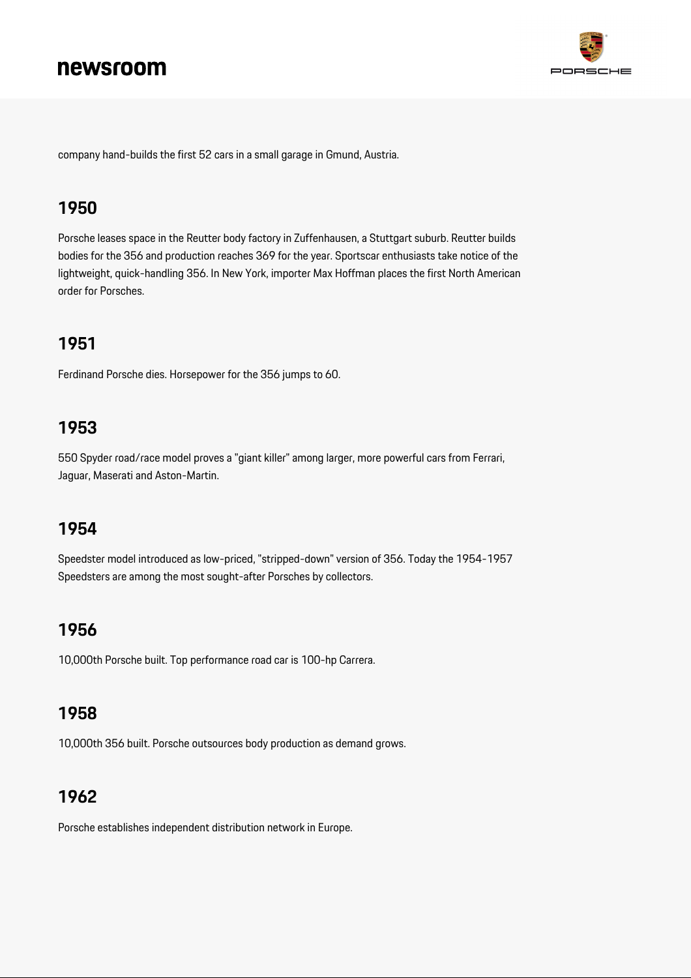

company hand-builds the first 52 cars in a small garage in Gmund, Austria.

#### **1950**

Porsche leases space in the Reutter body factory in Zuffenhausen, a Stuttgart suburb. Reutter builds bodies for the 356 and production reaches 369 for the year. Sportscar enthusiasts take notice of the lightweight, quick-handling 356. In New York, importer Max Hoffman places the first North American order for Porsches.

## **1951**

Ferdinand Porsche dies. Horsepower for the 356 jumps to 60.

#### **1953**

550 Spyder road/race model proves a "giant killer" among larger, more powerful cars from Ferrari, Jaguar, Maserati and Aston-Martin.

#### **1954**

Speedster model introduced as low-priced, "stripped-down" version of 356. Today the 1954-1957 Speedsters are among the most sought-after Porsches by collectors.

### **1956**

10,000th Porsche built. Top performance road car is 100-hp Carrera.

#### **1958**

10,000th 356 built. Porsche outsources body production as demand grows.

### **1962**

Porsche establishes independent distribution network in Europe.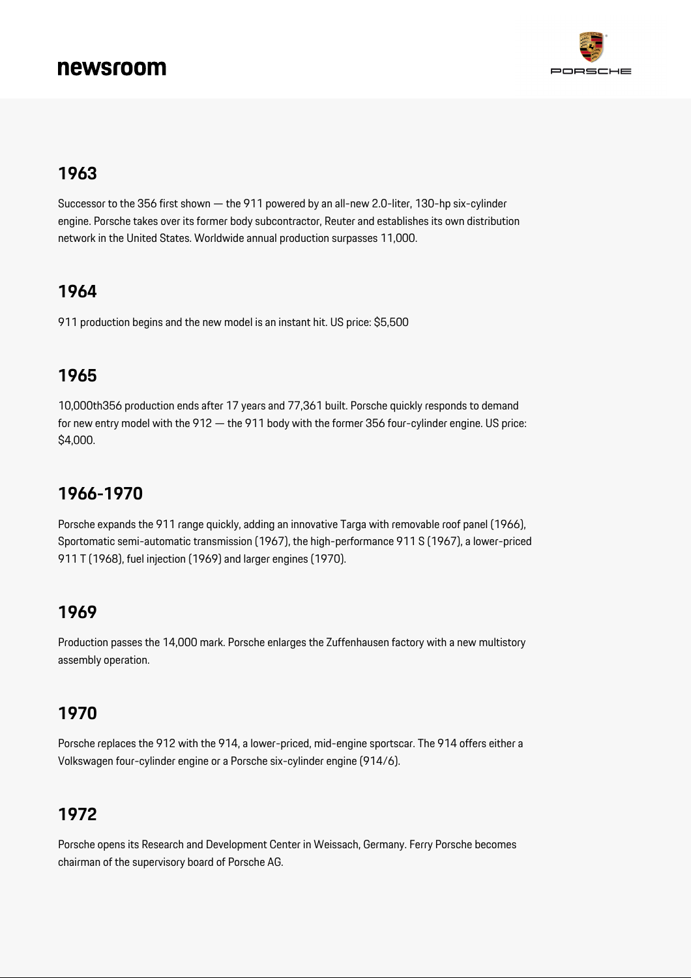

#### **1963**

Successor to the 356 first shown — the 911 powered by an all-new 2.0-liter, 130-hp six-cylinder engine. Porsche takes over its former body subcontractor, Reuter and establishes its own distribution network in the United States. Worldwide annual production surpasses 11,000.

## **1964**

911 production begins and the new model is an instant hit. US price: \$5,500

#### **1965**

10,000th356 production ends after 17 years and 77,361 built. Porsche quickly responds to demand for new entry model with the 912 — the 911 body with the former 356 four-cylinder engine. US price: \$4,000.

## **1966-1970**

Porsche expands the 911 range quickly, adding an innovative Targa with removable roof panel (1966), Sportomatic semi-automatic transmission (1967), the high-performance 911 S (1967), a lower-priced 911 T (1968), fuel injection (1969) and larger engines (1970).

#### **1969**

Production passes the 14,000 mark. Porsche enlarges the Zuffenhausen factory with a new multistory assembly operation.

#### **1970**

Porsche replaces the 912 with the 914, a lower-priced, mid-engine sportscar. The 914 offers either a Volkswagen four-cylinder engine or a Porsche six-cylinder engine (914/6).

### **1972**

Porsche opens its Research and Development Center in Weissach, Germany. Ferry Porsche becomes chairman of the supervisory board of Porsche AG.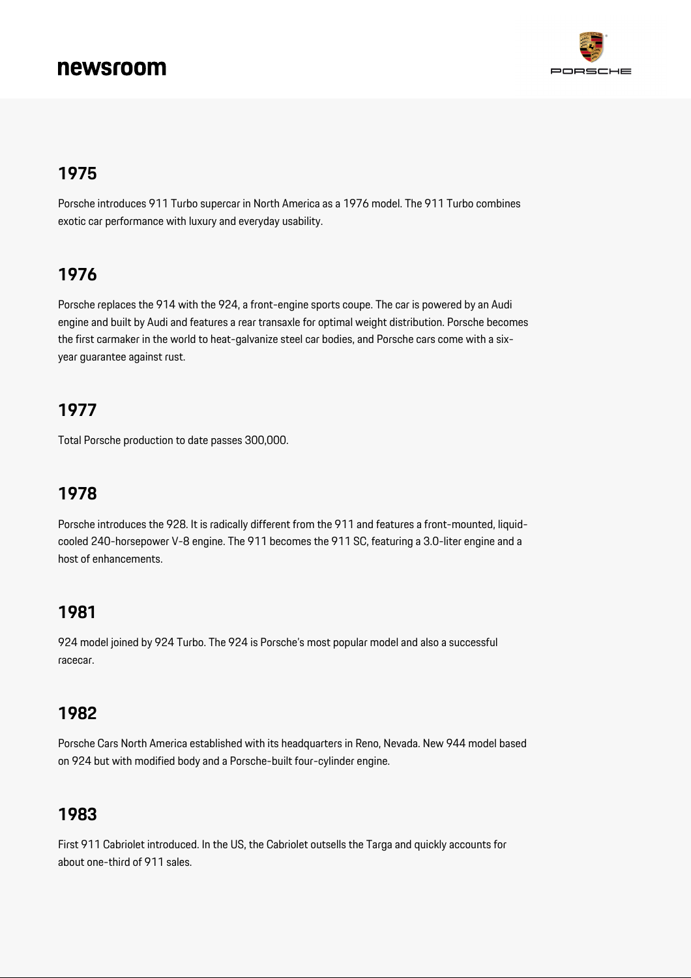

#### **1975**

Porsche introduces 911 Turbo supercar in North America as a 1976 model. The 911 Turbo combines exotic car performance with luxury and everyday usability.

#### **1976**

Porsche replaces the 914 with the 924, a front-engine sports coupe. The car is powered by an Audi engine and built by Audi and features a rear transaxle for optimal weight distribution. Porsche becomes the first carmaker in the world to heat-galvanize steel car bodies, and Porsche cars come with a sixyear guarantee against rust.

### **1977**

Total Porsche production to date passes 300,000.

## **1978**

Porsche introduces the 928. It is radically different from the 911 and features a front-mounted, liquidcooled 240-horsepower V-8 engine. The 911 becomes the 911 SC, featuring a 3.0-liter engine and a host of enhancements.

#### **1981**

924 model joined by 924 Turbo. The 924 is Porsche's most popular model and also a successful racecar.

#### **1982**

Porsche Cars North America established with its headquarters in Reno, Nevada. New 944 model based on 924 but with modified body and a Porsche-built four-cylinder engine.

#### **1983**

First 911 Cabriolet introduced. In the US, the Cabriolet outsells the Targa and quickly accounts for about one-third of 911 sales.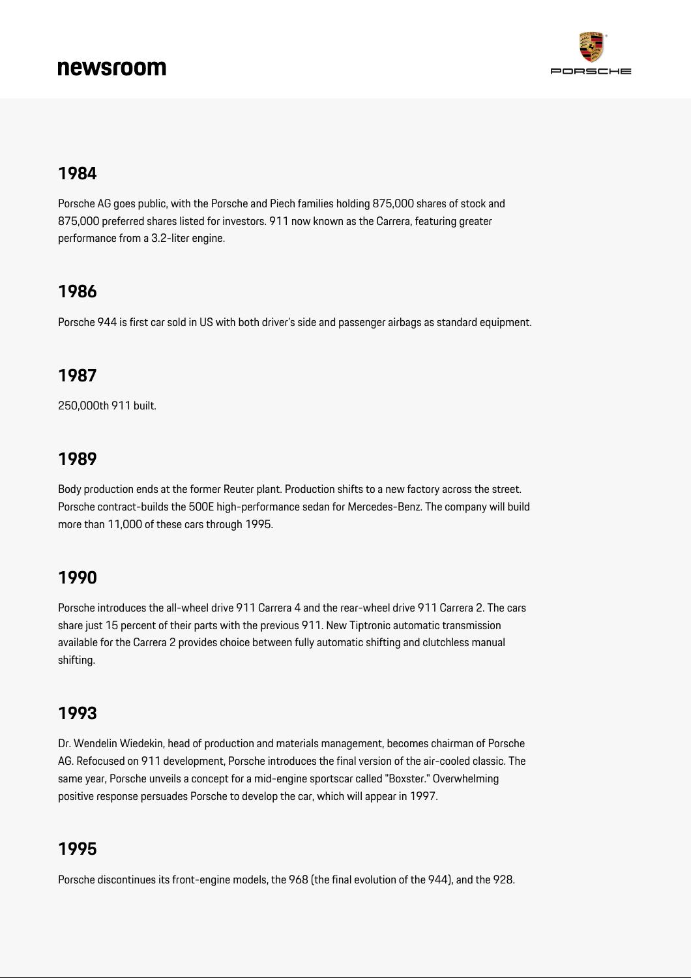

#### **1984**

Porsche AG goes public, with the Porsche and Piech families holding 875,000 shares of stock and 875,000 preferred shares listed for investors. 911 now known as the Carrera, featuring greater performance from a 3.2-liter engine.

#### **1986**

Porsche 944 is first car sold in US with both driver's side and passenger airbags as standard equipment.

#### **1987**

250,000th 911 built.

#### **1989**

Body production ends at the former Reuter plant. Production shifts to a new factory across the street. Porsche contract-builds the 500E high-performance sedan for Mercedes-Benz. The company will build more than 11,000 of these cars through 1995.

#### **1990**

Porsche introduces the all-wheel drive 911 Carrera 4 and the rear-wheel drive 911 Carrera 2. The cars share just 15 percent of their parts with the previous 911. New Tiptronic automatic transmission available for the Carrera 2 provides choice between fully automatic shifting and clutchless manual shifting.

#### **1993**

Dr. Wendelin Wiedekin, head of production and materials management, becomes chairman of Porsche AG. Refocused on 911 development, Porsche introduces the final version of the air-cooled classic. The same year, Porsche unveils a concept for a mid-engine sportscar called "Boxster." Overwhelming positive response persuades Porsche to develop the car, which will appear in 1997.

### **1995**

Porsche discontinues its front-engine models, the 968 (the final evolution of the 944), and the 928.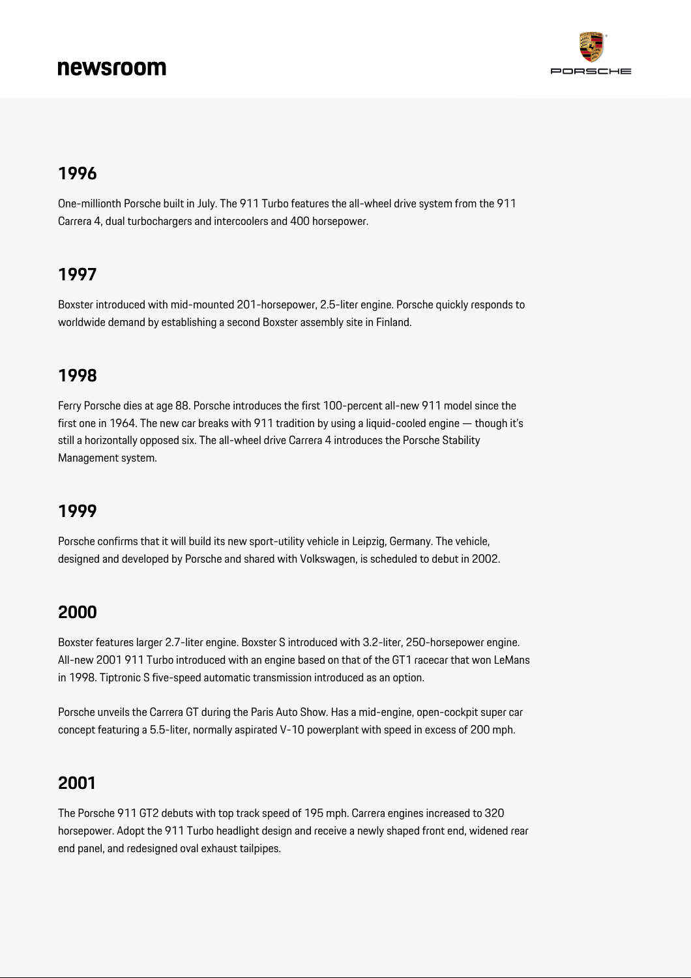

#### **1996**

One-millionth Porsche built in July. The 911 Turbo features the all-wheel drive system from the 911 Carrera 4, dual turbochargers and intercoolers and 400 horsepower.

#### **1997**

Boxster introduced with mid-mounted 201-horsepower, 2.5-liter engine. Porsche quickly responds to worldwide demand by establishing a second Boxster assembly site in Finland.

#### **1998**

Ferry Porsche dies at age 88. Porsche introduces the first 100-percent all-new 911 model since the first one in 1964. The new car breaks with 911 tradition by using a liquid-cooled engine — though it's still a horizontally opposed six. The all-wheel drive Carrera 4 introduces the Porsche Stability Management system.

#### **1999**

Porsche confirms that it will build its new sport-utility vehicle in Leipzig, Germany. The vehicle, designed and developed by Porsche and shared with Volkswagen, is scheduled to debut in 2002.

#### **2000**

Boxster features larger 2.7-liter engine. Boxster S introduced with 3.2-liter, 250-horsepower engine. All-new 2001 911 Turbo introduced with an engine based on that of the GT1 racecar that won LeMans in 1998. Tiptronic S five-speed automatic transmission introduced as an option.

Porsche unveils the Carrera GT during the Paris Auto Show. Has a mid-engine, open-cockpit super car concept featuring a 5.5-liter, normally aspirated V-10 powerplant with speed in excess of 200 mph.

#### **2001**

The Porsche 911 GT2 debuts with top track speed of 195 mph. Carrera engines increased to 320 horsepower. Adopt the 911 Turbo headlight design and receive a newly shaped front end, widened rear end panel, and redesigned oval exhaust tailpipes.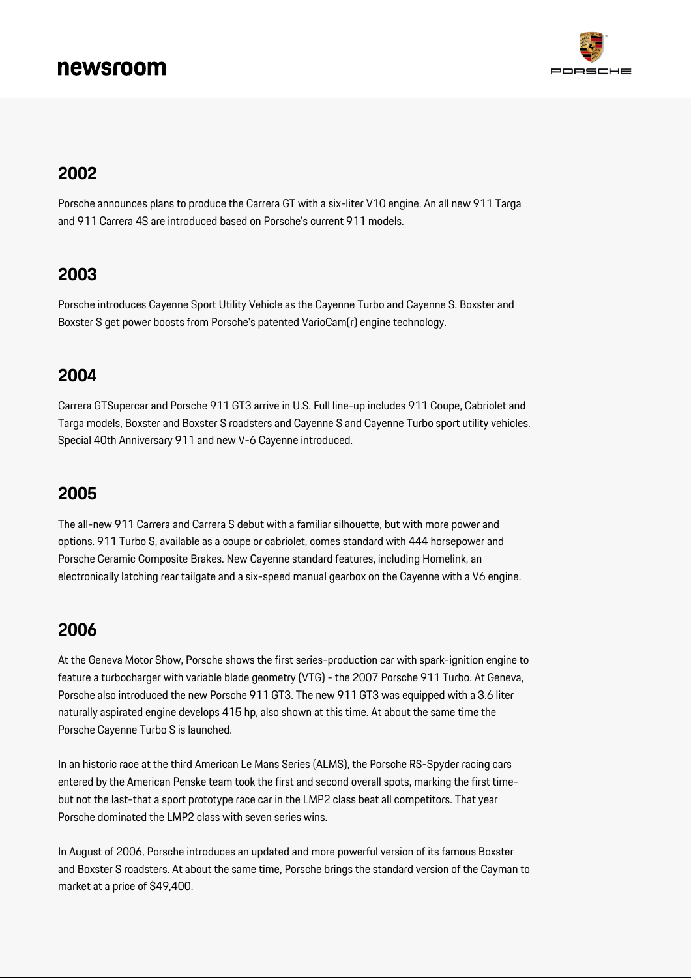

#### **2002**

Porsche announces plans to produce the Carrera GT with a six-liter V10 engine. An all new 911 Targa and 911 Carrera 4S are introduced based on Porsche's current 911 models.

#### **2003**

Porsche introduces Cayenne Sport Utility Vehicle as the Cayenne Turbo and Cayenne S. Boxster and Boxster S get power boosts from Porsche's patented VarioCam(r) engine technology.

#### **2004**

Carrera GTSupercar and Porsche 911 GT3 arrive in U.S. Full line-up includes 911 Coupe, Cabriolet and Targa models, Boxster and Boxster S roadsters and Cayenne S and Cayenne Turbo sport utility vehicles. Special 40th Anniversary 911 and new V-6 Cayenne introduced.

#### **2005**

The all-new 911 Carrera and Carrera S debut with a familiar silhouette, but with more power and options. 911 Turbo S, available as a coupe or cabriolet, comes standard with 444 horsepower and Porsche Ceramic Composite Brakes. New Cayenne standard features, including Homelink, an electronically latching rear tailgate and a six-speed manual gearbox on the Cayenne with a V6 engine.

#### **2006**

At the Geneva Motor Show, Porsche shows the first series-production car with spark-ignition engine to feature a turbocharger with variable blade geometry (VTG) - the 2007 Porsche 911 Turbo. At Geneva, Porsche also introduced the new Porsche 911 GT3. The new 911 GT3 was equipped with a 3.6 liter naturally aspirated engine develops 415 hp, also shown at this time. At about the same time the Porsche Cayenne Turbo S is launched.

In an historic race at the third American Le Mans Series (ALMS), the Porsche RS-Spyder racing cars entered by the American Penske team took the first and second overall spots, marking the first timebut not the last-that a sport prototype race car in the LMP2 class beat all competitors. That year Porsche dominated the LMP2 class with seven series wins.

In August of 2006, Porsche introduces an updated and more powerful version of its famous Boxster and Boxster S roadsters. At about the same time, Porsche brings the standard version of the Cayman to market at a price of \$49,400.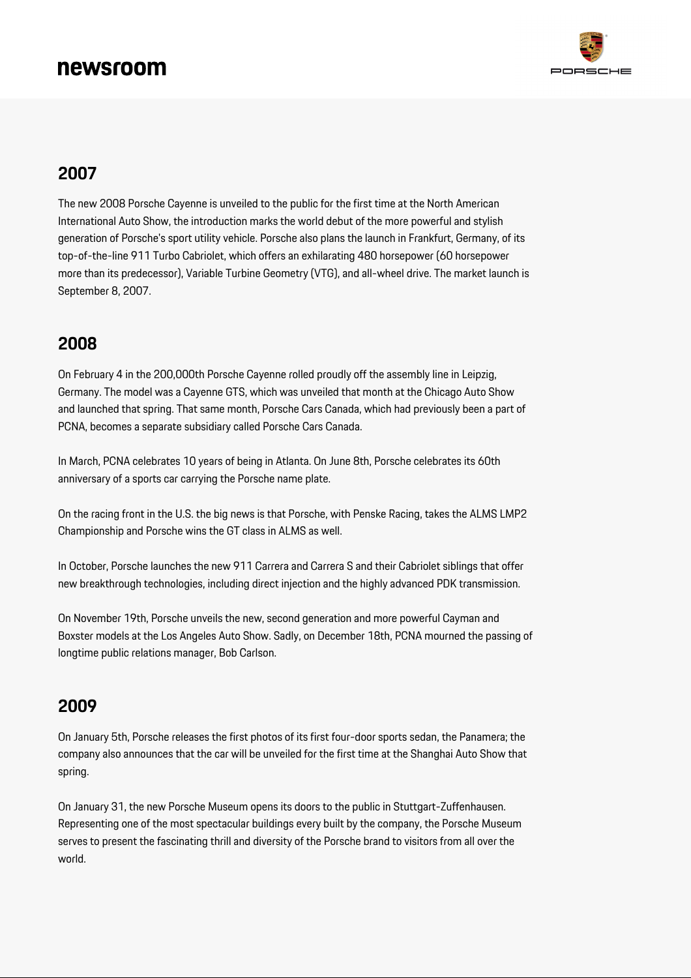

#### **2007**

The new 2008 Porsche Cayenne is unveiled to the public for the first time at the North American International Auto Show, the introduction marks the world debut of the more powerful and stylish generation of Porsche's sport utility vehicle. Porsche also plans the launch in Frankfurt, Germany, of its top-of-the-line 911 Turbo Cabriolet, which offers an exhilarating 480 horsepower (60 horsepower more than its predecessor), Variable Turbine Geometry (VTG), and all-wheel drive. The market launch is September 8, 2007.

#### **2008**

On February 4 in the 200,000th Porsche Cayenne rolled proudly off the assembly line in Leipzig, Germany. The model was a Cayenne GTS, which was unveiled that month at the Chicago Auto Show and launched that spring. That same month, Porsche Cars Canada, which had previously been a part of PCNA, becomes a separate subsidiary called Porsche Cars Canada.

In March, PCNA celebrates 10 years of being in Atlanta. On June 8th, Porsche celebrates its 60th anniversary of a sports car carrying the Porsche name plate.

On the racing front in the U.S. the big news is that Porsche, with Penske Racing, takes the ALMS LMP2 Championship and Porsche wins the GT class in ALMS as well.

In October, Porsche launches the new 911 Carrera and Carrera S and their Cabriolet siblings that offer new breakthrough technologies, including direct injection and the highly advanced PDK transmission.

On November 19th, Porsche unveils the new, second generation and more powerful Cayman and Boxster models at the Los Angeles Auto Show. Sadly, on December 18th, PCNA mourned the passing of longtime public relations manager, Bob Carlson.

#### **2009**

On January 5th, Porsche releases the first photos of its first four-door sports sedan, the Panamera; the company also announces that the car will be unveiled for the first time at the Shanghai Auto Show that spring.

On January 31, the new Porsche Museum opens its doors to the public in Stuttgart-Zuffenhausen. Representing one of the most spectacular buildings every built by the company, the Porsche Museum serves to present the fascinating thrill and diversity of the Porsche brand to visitors from all over the world.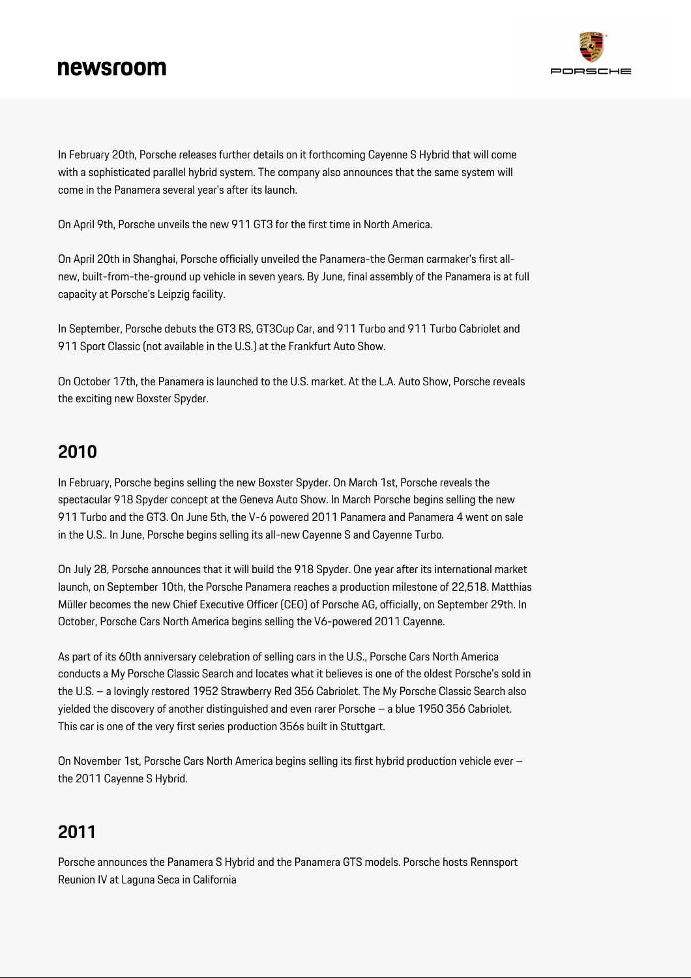

In February 20th, Porsche releases further details on it forthcoming Cayenne S Hybrid that will come with a sophisticated parallel hybrid system. The company also announces that the same system will come in the Panamera several year's after its launch.

On April 9th, Porsche unveils the new 911 GT3 for the first time in North America.

On April 20th in Shanghai, Porsche officially unveiled the Panamera-the German carmaker's first allnew, built-from-the-ground up vehicle in seven years. By June, final assembly of the Panamera is at full capacity at Porsche's Leipzig facility.

In September, Porsche debuts the GT3 RS, GT3Cup Car, and 911 Turbo and 911 Turbo Cabriolet and 911 Sport Classic (not available in the U.S.) at the Frankfurt Auto Show.

On October 17th, the Panamera is launched to the U.S. market. At the L.A. Auto Show, Porsche reveals the exciting new Boxster Spyder.

## **2010**

In February, Porsche begins selling the new Boxster Spyder. On March 1st, Porsche reveals the spectacular 918 Spyder concept at the Geneva Auto Show. In March Porsche begins selling the new 911 Turbo and the GT3. On June 5th, the V-6 powered 2011 Panamera and Panamera 4 went on sale in the U.S.. In June, Porsche begins selling its all-new Cayenne S and Cayenne Turbo.

On July 28, Porsche announces that it will build the 918 Spyder. One year after its international market launch, on September 10th, the Porsche Panamera reaches a production milestone of 22,518. Matthias Müller becomes the new Chief Executive Officer (CEO) of Porsche AG, officially, on September 29th. In October, Porsche Cars North America begins selling the V6-powered 2011 Cayenne.

As part of its 60th anniversary celebration of selling cars in the U.S., Porsche Cars North America conducts a My Porsche Classic Search and locates what it believes is one of the oldest Porsche's sold in the U.S. – a lovingly restored 1952 Strawberry Red 356 Cabriolet. The My Porsche Classic Search also yielded the discovery of another distinguished and even rarer Porsche – a blue 1950 356 Cabriolet. This car is one of the very first series production 356s built in Stuttgart.

On November 1st, Porsche Cars North America begins selling its first hybrid production vehicle ever – the 2011 Cayenne S Hybrid.

## **2011**

Porsche announces the Panamera S Hybrid and the Panamera GTS models. Porsche hosts Rennsport Reunion IV at Laguna Seca in California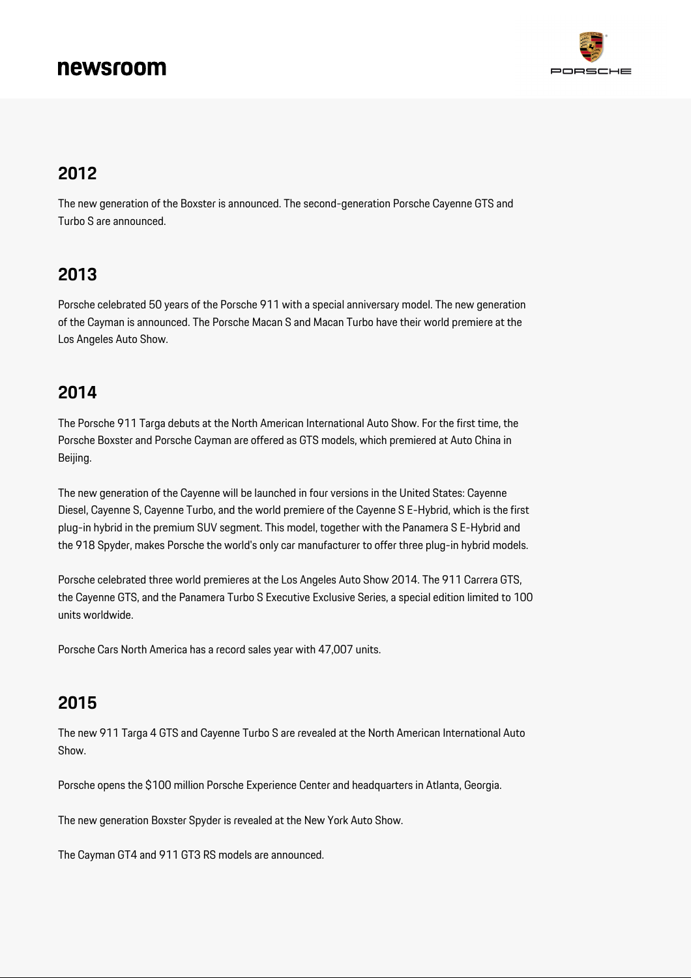

#### **2012**

The new generation of the Boxster is announced. The second-generation Porsche Cayenne GTS and Turbo S are announced.

### **2013**

Porsche celebrated 50 years of the Porsche 911 with a special anniversary model. The new generation of the Cayman is announced. The Porsche Macan S and Macan Turbo have their world premiere at the Los Angeles Auto Show.

#### **2014**

The Porsche 911 Targa debuts at the North American International Auto Show. For the first time, the Porsche Boxster and Porsche Cayman are offered as GTS models, which premiered at Auto China in Beijing.

The new generation of the Cayenne will be launched in four versions in the United States: Cayenne Diesel, Cayenne S, Cayenne Turbo, and the world premiere of the Cayenne S E-Hybrid, which is the first plug-in hybrid in the premium SUV segment. This model, together with the Panamera S E-Hybrid and the 918 Spyder, makes Porsche the world's only car manufacturer to offer three plug-in hybrid models.

Porsche celebrated three world premieres at the Los Angeles Auto Show 2014. The 911 Carrera GTS, the Cayenne GTS, and the Panamera Turbo S Executive Exclusive Series, a special edition limited to 100 units worldwide.

Porsche Cars North America has a record sales year with 47,007 units.

#### **2015**

The new 911 Targa 4 GTS and Cayenne Turbo S are revealed at the North American International Auto Show.

Porsche opens the \$100 million Porsche Experience Center and headquarters in Atlanta, Georgia.

The new generation Boxster Spyder is revealed at the New York Auto Show.

The Cayman GT4 and 911 GT3 RS models are announced.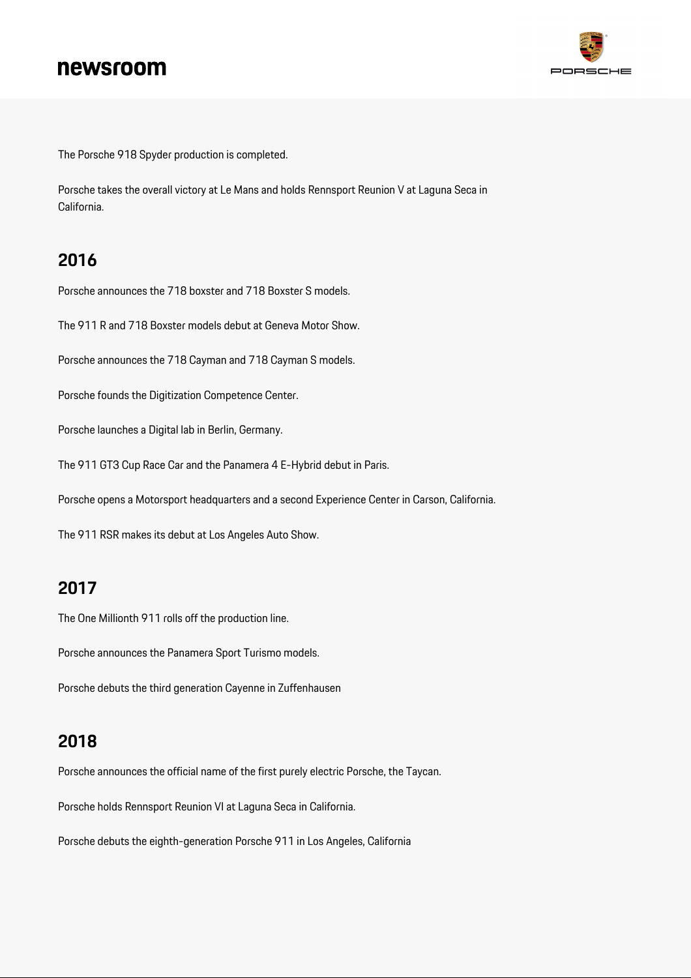

The Porsche 918 Spyder production is completed.

Porsche takes the overall victory at Le Mans and holds Rennsport Reunion V at Laguna Seca in California.

#### **2016**

Porsche announces the 718 boxster and 718 Boxster S models.

The 911 R and 718 Boxster models debut at Geneva Motor Show.

Porsche announces the 718 Cayman and 718 Cayman S models.

Porsche founds the Digitization Competence Center.

Porsche launches a Digital lab in Berlin, Germany.

The 911 GT3 Cup Race Car and the Panamera 4 E-Hybrid debut in Paris.

Porsche opens a Motorsport headquarters and a second Experience Center in Carson, California.

The 911 RSR makes its debut at Los Angeles Auto Show.

#### **2017**

The One Millionth 911 rolls off the production line.

Porsche announces the Panamera Sport Turismo models.

Porsche debuts the third generation Cayenne in Zuffenhausen

#### **2018**

Porsche announces the official name of the first purely electric Porsche, the Taycan.

Porsche holds Rennsport Reunion VI at Laguna Seca in California.

Porsche debuts the eighth-generation Porsche 911 in Los Angeles, California